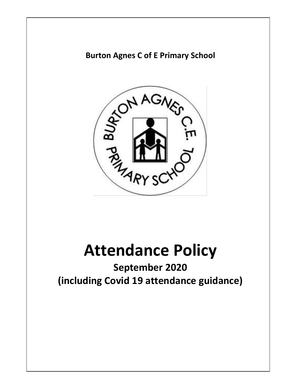## **Burton Agnes C of E Primary School**



# **Attendance Policy**

**September 2020 (including Covid 19 attendance guidance)**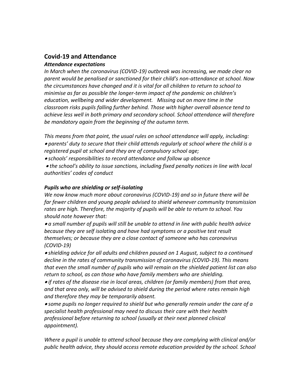## **Covid-19 and Attendance**

#### *Attendance expectations*

*In March when the coronavirus (COVID-19) outbreak was increasing, we made clear no parent would be penalised or sanctioned for their child's non-attendance at school. Now the circumstances have changed and it is vital for all children to return to school to minimise as far as possible the longer-term impact of the pandemic on children's education, wellbeing and wider development. Missing out on more time in the classroom risks pupils falling further behind. Those with higher overall absence tend to achieve less well in both primary and secondary school. School attendance will therefore be mandatory again from the beginning of the autumn term.* 

*This means from that point, the usual rules on school attendance will apply, including: parents' duty to secure that their child attends regularly at school where the child is a registered pupil at school and they are of compulsory school age;* 

*schools' responsibilities to record attendance and follow up absence*

 *the school's ability to issue sanctions, including fixed penalty notices in line with local authorities' codes of conduct* 

#### *Pupils who are shielding or self-isolating*

*We now know much more about coronavirus (COVID-19) and so in future there will be far fewer children and young people advised to shield whenever community transmission rates are high. Therefore, the majority of pupils will be able to return to school. You should note however that:* 

 *a small number of pupils will still be unable to attend in line with public health advice because they are self isolating and have had symptoms or a positive test result themselves; or because they are a close contact of someone who has coronavirus (COVID-19)* 

 *shielding advice for all adults and children paused on 1 August, subject to a continued decline in the rates of community transmission of coronavirus (COVID-19). This means that even the small number of pupils who will remain on the shielded patient list can also return to school, as can those who have family members who are shielding.* 

 *if rates of the disease rise in local areas, children (or family members) from that area, and that area only, will be advised to shield during the period where rates remain high and therefore they may be temporarily absent.* 

 *some pupils no longer required to shield but who generally remain under the care of a specialist health professional may need to discuss their care with their health professional before returning to school (usually at their next planned clinical appointment).* 

*Where a pupil is unable to attend school because they are complying with clinical and/or*  public health advice, they should access remote education provided by the school. School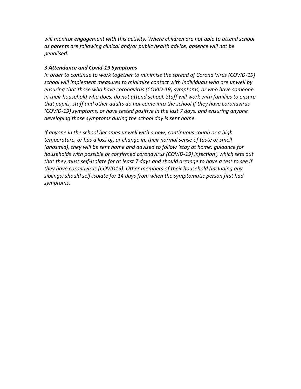*will monitor engagement with this activity. Where children are not able to attend school as parents are following clinical and/or public health advice, absence will not be penalised.* 

#### *3 Attendance and Covid-19 Symptoms*

*In order to continue to work together to minimise the spread of Corona Virus (COVID-19) school will implement measures to minimise contact with individuals who are unwell by ensuring that those who have coronavirus (COVID-19) symptoms, or who have someone in their household who does, do not attend school. Staff will work with families to ensure that pupils, staff and other adults do not come into the school if they have coronavirus (COVID-19) symptoms, or have tested positive in the last 7 days, and ensuring anyone developing those symptoms during the school day is sent home.* 

*If anyone in the school becomes unwell with a new, continuous cough or a high temperature, or has a loss of, or change in, their normal sense of taste or smell (anosmia), they will be sent home and advised to follow 'stay at home: guidance for households with possible or confirmed coronavirus (COVID-19) infection', which sets out that they must self-isolate for at least 7 days and should arrange to have a test to see if they have coronavirus (COVID19). Other members of their household (including any siblings) should self-isolate for 14 days from when the symptomatic person first had symptoms.*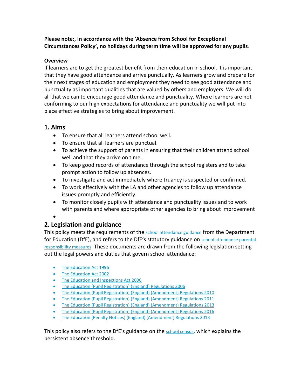**Please note:, In accordance with the 'Absence from School for Exceptional Circumstances Policy', no holidays during term time will be approved for any pupils**.

#### **Overview**

If learners are to get the greatest benefit from their education in school, it is important that they have good attendance and arrive punctually. As learners grow and prepare for their next stages of education and employment they need to see good attendance and punctuality as important qualities that are valued by others and employers. We will do all that we can to encourage good attendance and punctuality. Where learners are not conforming to our high expectations for attendance and punctuality we will put into place effective strategies to bring about improvement.

#### **1. Aims**

- To ensure that all learners attend school well.
- To ensure that all learners are punctual.
- To achieve the support of parents in ensuring that their children attend school well and that they arrive on time.
- To keep good records of attendance through the school registers and to take prompt action to follow up absences.
- To investigate and act immediately where truancy is suspected or confirmed.
- To work effectively with the LA and other agencies to follow up attendance issues promptly and efficiently.
- To monitor closely pupils with attendance and punctuality issues and to work with parents and where appropriate other agencies to bring about improvement

 $\bullet$ 

## **2. Legislation and guidance**

This policy meets the requirements of the [school attendance guidance](https://www.gov.uk/government/publications/school-attendance) from the Department for Education (DfE), and refers to the DfE's statutory guidance on school attendance parental [responsibility measures](https://www.gov.uk/government/publications/parental-responsibility-measures-for-behaviour-and-attendance). These documents are drawn from the following legislation setting out the legal powers and duties that govern school attendance:

- [The Education Act 1996](https://www.legislation.gov.uk/ukpga/1996/56/part/VI/chapter/II)
- [The Education Act 2002](http://www.legislation.gov.uk/ukpga/2002/32/part/3/chapter/3)
- [The Education and Inspections Act 2006](http://www.legislation.gov.uk/ukpga/2006/40/part/7/chapter/2/crossheading/school-attendance)
- [The Education \(Pupil Registration\) \(England\) Regulations 2006](http://www.legislation.gov.uk/uksi/2006/1751/contents/made)
- [The Education \(Pupil Registration\) \(England\) \(Amendment\) Regulations 2010](http://www.centralbedfordshire.gov.uk/Images/amendment-regulation-2010_tcm3-8642.pdf)
- [The Education \(Pupil Registration\) \(England\) \(Amendment\) Regulations 2011](http://www.legislation.gov.uk/uksi/2011/1625/made)
- [The Education \(Pupil Registration\) \(England\) \(Amendment\) Regulations 2013](http://www.legislation.gov.uk/uksi/2013/756/made)
- [The Education \(Pupil Registration\) \(England\) \(Amendment\) Regulations 2016](http://legislation.data.gov.uk/uksi/2016/792/made/data.html)
- [The Education \(Penalty Notices\) \(England\) \(Amendment\) Regulations 2013](http://www.legislation.gov.uk/uksi/2013/756/pdfs/uksiem_20130756_en.pdf)

This policy also refers to the DfE's guidance on the [school census](https://www.gov.uk/government/publications/school-census-2017-to-2018-guide-for-schools-and-las), which explains the persistent absence threshold.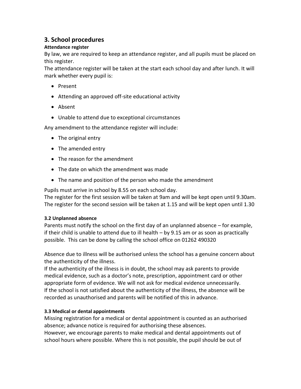## **3. School procedures**

#### **Attendance register**

By law, we are required to keep an attendance register, and all pupils must be placed on this register.

The attendance register will be taken at the start each school day and after lunch. It will mark whether every pupil is:

- Present
- Attending an approved off-site educational activity
- Absent
- Unable to attend due to exceptional circumstances

Any amendment to the attendance register will include:

- The original entry
- The amended entry
- The reason for the amendment
- The date on which the amendment was made
- The name and position of the person who made the amendment

Pupils must arrive in school by 8.55 on each school day.

The register for the first session will be taken at 9am and will be kept open until 9.30am. The register for the second session will be taken at 1.15 and will be kept open until 1.30

#### **3.2 Unplanned absence**

Parents must notify the school on the first day of an unplanned absence – for example, if their child is unable to attend due to ill health – by 9.15 am or as soon as practically possible. This can be done by calling the school office on 01262 490320

Absence due to illness will be authorised unless the school has a genuine concern about the authenticity of the illness.

If the authenticity of the illness is in doubt, the school may ask parents to provide medical evidence, such as a doctor's note, prescription, appointment card or other appropriate form of evidence. We will not ask for medical evidence unnecessarily. If the school is not satisfied about the authenticity of the illness, the absence will be recorded as unauthorised and parents will be notified of this in advance.

#### **3.3 Medical or dental appointments**

Missing registration for a medical or dental appointment is counted as an authorised absence; advance notice is required for authorising these absences.

However, we encourage parents to make medical and dental appointments out of school hours where possible. Where this is not possible, the pupil should be out of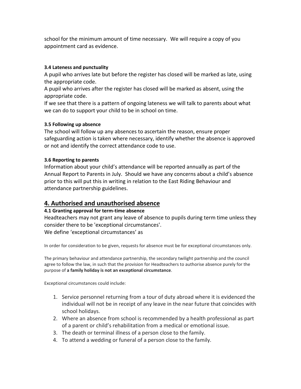school for the minimum amount of time necessary. We will require a copy of you appointment card as evidence.

#### **3.4 Lateness and punctuality**

A pupil who arrives late but before the register has closed will be marked as late, using the appropriate code.

A pupil who arrives after the register has closed will be marked as absent, using the appropriate code.

If we see that there is a pattern of ongoing lateness we will talk to parents about what we can do to support your child to be in school on time.

#### **3.5 Following up absence**

The school will follow up any absences to ascertain the reason, ensure proper safeguarding action is taken where necessary, identify whether the absence is approved or not and identify the correct attendance code to use.

#### **3.6 Reporting to parents**

Information about your child's attendance will be reported annually as part of the Annual Report to Parents in July. Should we have any concerns about a child's absence prior to this will put this in writing in relation to the East Riding Behaviour and attendance partnership guidelines.

## **4. Authorised and unauthorised absence**

#### **4.1 Granting approval for term-time absence**

Headteachers may not grant any leave of absence to pupils during term time unless they consider there to be 'exceptional circumstances'. We define 'exceptional circumstances' as

In order for consideration to be given, requests for absence must be for exceptional circumstances only.

The primary behaviour and attendance partnership, the secondary twilight partnership and the council agree to follow the law, in such that the provision for Headteachers to authorise absence purely for the purpose of **a family holiday is not an exceptional circumstance**.

Exceptional circumstances could include:

- 1. Service personnel returning from a tour of duty abroad where it is evidenced the individual will not be in receipt of any leave in the near future that coincides with school holidays.
- 2. Where an absence from school is recommended by a health professional as part of a parent or child's rehabilitation from a medical or emotional issue.
- 3. The death or terminal illness of a person close to the family.
- 4. To attend a wedding or funeral of a person close to the family.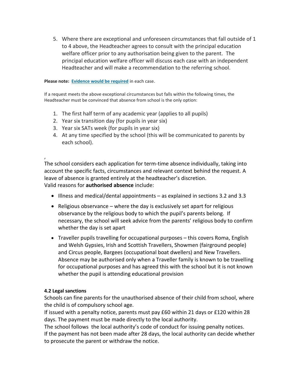5. Where there are exceptional and unforeseen circumstances that fall outside of 1 to 4 above, the Headteacher agrees to consult with the principal education welfare officer prior to any authorisation being given to the parent. The principal education welfare officer will discuss each case with an independent Headteacher and will make a recommendation to the referring school.

**Please note: [Evidence would be required](https://www.eastriding.gov.uk/learning/schools-colleges-and-academies/school-attendance/holidays-during-term-time-and-authorised-absence-from-school/#What-evidence-is-needed)** in each case.

If a request meets the above exceptional circumstances but falls within the following times, the Headteacher must be convinced that absence from school is the only option:

- 1. The first half term of any academic year (applies to all pupils)
- 2. Year six transition day (for pupils in year six)
- 3. Year six SATs week (for pupils in year six)
- 4. At any time specified by the school (this will be communicated to parents by each school).

, The school considers each application for term-time absence individually, taking into account the specific facts, circumstances and relevant context behind the request. A leave of absence is granted entirely at the headteacher's discretion. Valid reasons for **authorised absence** include:

- Illness and medical/dental appointments as explained in sections 3.2 and 3.3
- $\bullet$  Religious observance where the day is exclusively set apart for religious observance by the religious body to which the pupil's parents belong. If necessary, the school will seek advice from the parents' religious body to confirm whether the day is set apart
- Traveller pupils travelling for occupational purposes this covers Roma, English and Welsh Gypsies, Irish and Scottish Travellers, Showmen (fairground people) and Circus people, Bargees (occupational boat dwellers) and New Travellers. Absence may be authorised only when a Traveller family is known to be travelling for occupational purposes and has agreed this with the school but it is not known whether the pupil is attending educational provision

#### **4.2 Legal sanctions**

Schools can fine parents for the unauthorised absence of their child from school, where the child is of compulsory school age.

If issued with a penalty notice, parents must pay £60 within 21 days or £120 within 28 days. The payment must be made directly to the local authority.

The school follows the local authority's code of conduct for issuing penalty notices. If the payment has not been made after 28 days, the local authority can decide whether to prosecute the parent or withdraw the notice.